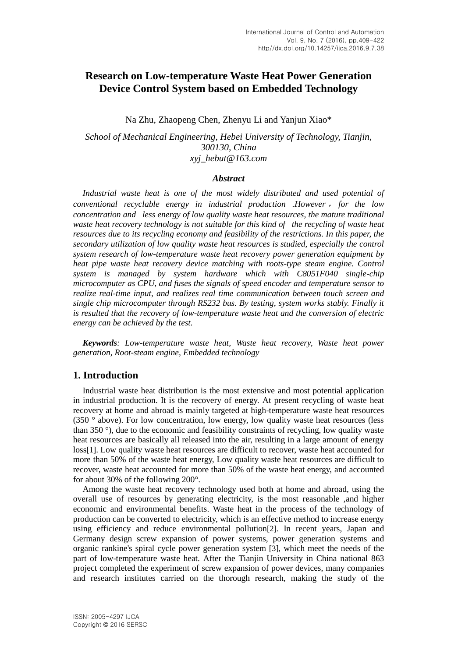# **Research on Low-temperature Waste Heat Power Generation Device Control System based on Embedded Technology**

Na Zhu, Zhaopeng Chen, Zhenyu Li and Yanjun Xiao\*

*School of Mechanical Engineering, Hebei University of Technology, Tianjin, 300130, China xyj\_hebut@163.com*

#### *Abstract*

*Industrial waste heat is one of the most widely distributed and used potential of conventional recyclable energy in industrial production .However* , *for the low concentration and less energy of low quality waste heat resources, the mature traditional waste heat recovery technology is not suitable for this kind of the recycling of waste heat resources due to its recycling economy and feasibility of the restrictions. In this paper, the secondary utilization of low quality waste heat resources is studied, especially the control system research of low-temperature waste heat recovery power generation equipment by heat pipe waste heat recovery device matching with roots-type steam engine. Control system is managed by system hardware which with C8051F040 single-chip microcomputer as CPU, and fuses the signals of speed encoder and temperature sensor to realize real-time input, and realizes real time communication between touch screen and single chip microcomputer through RS232 bus. By testing, system works stably. Finally it is resulted that the recovery of low-temperature waste heat and the conversion of electric energy can be achieved by the test.*

*Keywords: Low-temperature waste heat, Waste heat recovery, Waste heat power generation, Root-steam engine, Embedded technology*

# **1. Introduction**

Industrial waste heat distribution is the most extensive and most potential application in industrial production. It is the recovery of energy. At present recycling of waste heat recovery at home and abroad is mainly targeted at high-temperature waste heat resources (350 ° above). For low concentration, low energy, low quality waste heat resources (less than 350 °), due to the economic and feasibility constraints of recycling, low quality waste heat resources are basically all released into the air, resulting in a large amount of energy loss[1]. Low quality waste heat resources are difficult to recover, waste heat accounted for more than 50% of the waste heat energy, Low quality waste heat resources are difficult to recover, waste heat accounted for more than 50% of the waste heat energy, and accounted for about 30% of the following 200°.

Among the waste heat recovery technology used both at home and abroad, using the overall use of resources by generating electricity, is the most reasonable ,and higher economic and environmental benefits. Waste heat in the process of the technology of production can be converted to electricity, which is an effective method to increase energy using efficiency and reduce environmental pollution[2]. In recent years, Japan and Germany design screw expansion of power systems, power generation systems and organic rankine's spiral cycle power generation system [3], which meet the needs of the part of low-temperature waste heat. After the Tianjin University in China national 863 project completed the experiment of screw expansion of power devices, many companies and research institutes carried on the thorough research, making the study of the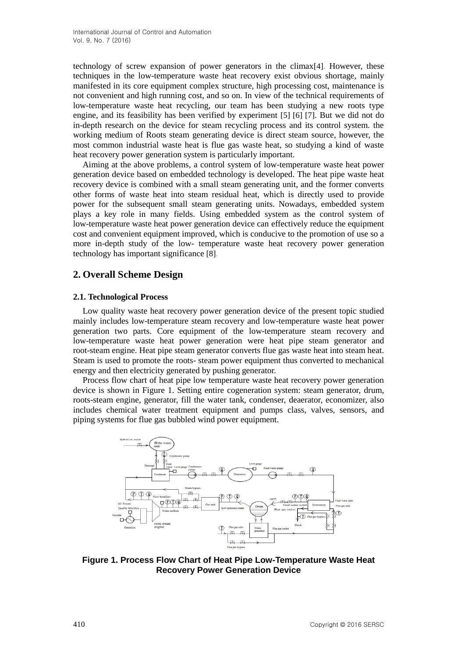technology of screw expansion of power generators in the climax[4]. However, these techniques in the low-temperature waste heat recovery exist obvious shortage, mainly manifested in its core equipment complex structure, high processing cost, maintenance is not convenient and high running cost, and so on. In view of the technical requirements of low-temperature waste heat recycling, our team has been studying a new roots type engine, and its feasibility has been verified by experiment [5] [6] [7]. But we did not do in-depth research on the device for steam recycling process and its control system. the working medium of Roots steam generating device is direct steam source, however, the most common industrial waste heat is flue gas waste heat, so studying a kind of waste heat recovery power generation system is particularly important.

Aiming at the above problems, a control system of low-temperature waste heat power generation device based on embedded technology is developed. The heat pipe waste heat recovery device is combined with a small steam generating unit, and the former converts other forms of waste heat into steam residual heat, which is directly used to provide power for the subsequent small steam generating units. Nowadays, embedded system plays a key role in many fields. Using embedded system as the control system of low-temperature waste heat power generation device can effectively reduce the equipment cost and convenient equipment improved, which is conducive to the promotion of use so a more in-depth study of the low- temperature waste heat recovery power generation technology has important significance [8].

# **2. Overall Scheme Design**

## **2.1. Technological Process**

Low quality waste heat recovery power generation device of the present topic studied mainly includes low-temperature steam recovery and low-temperature waste heat power generation two parts. Core equipment of the low-temperature steam recovery and low-temperature waste heat power generation were heat pipe steam generator and root-steam engine. Heat pipe steam generator converts flue gas waste heat into steam heat. Steam is used to promote the roots- steam power equipment thus converted to mechanical energy and then electricity generated by pushing generator.

Process flow chart of heat pipe low temperature waste heat recovery power generation device is shown in Figure 1. Setting entire cogeneration system: steam generator, drum, roots-steam engine, generator, fill the water tank, condenser, deaerator, economizer, also includes chemical water treatment equipment and pumps class, valves, sensors, and piping systems for flue gas bubbled wind power equipment.



**Figure 1. Process Flow Chart of Heat Pipe Low-Temperature Waste Heat Recovery Power Generation Device**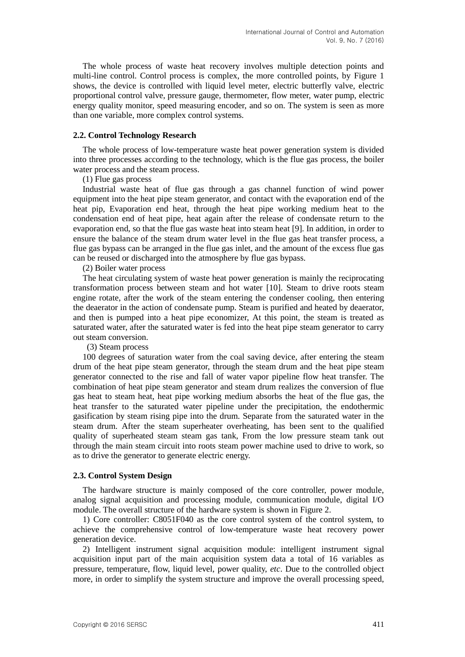The whole process of waste heat recovery involves multiple detection points and multi-line control. Control process is complex, the more controlled points, by Figure 1 shows, the device is controlled with liquid level meter, electric butterfly valve, electric proportional control valve, pressure gauge, thermometer, flow meter, water pump, electric energy quality monitor, speed measuring encoder, and so on. The system is seen as more than one variable, more complex control systems.

#### **2.2. Control Technology Research**

The whole process of low-temperature waste heat power generation system is divided into three processes according to the technology, which is the flue gas process, the boiler water process and the steam process.

#### (1) Flue gas process

Industrial waste heat of flue gas through a gas channel function of wind power equipment into the heat pipe steam generator, and contact with the evaporation end of the heat pip, Evaporation end heat, through the heat pipe working medium heat to the condensation end of heat pipe, heat again after the release of condensate return to the evaporation end, so that the flue gas waste heat into steam heat [9]. In addition, in order to ensure the balance of the steam drum water level in the flue gas heat transfer process, a flue gas bypass can be arranged in the flue gas inlet, and the amount of the excess flue gas can be reused or discharged into the atmosphere by flue gas bypass.

(2) Boiler water process

The heat circulating system of waste heat power generation is mainly the reciprocating transformation process between steam and hot water [10]. Steam to drive roots steam engine rotate, after the work of the steam entering the condenser cooling, then entering the deaerator in the action of condensate pump. Steam is purified and heated by deaerator, and then is pumped into a heat pipe economizer, At this point, the steam is treated as saturated water, after the saturated water is fed into the heat pipe steam generator to carry out steam conversion.

(3) Steam process

100 degrees of saturation water from the coal saving device, after entering the steam drum of the heat pipe steam generator, through the steam drum and the heat pipe steam generator connected to the rise and fall of water vapor pipeline flow heat transfer. The combination of heat pipe steam generator and steam drum realizes the conversion of flue gas heat to steam heat, heat pipe working medium absorbs the heat of the flue gas, the heat transfer to the saturated water pipeline under the precipitation, the endothermic gasification by steam rising pipe into the drum. Separate from the saturated water in the steam drum. After the steam superheater overheating, has been sent to the qualified quality of superheated steam steam gas tank, From the low pressure steam tank out through the main steam circuit into roots steam power machine used to drive to work, so as to drive the generator to generate electric energy.

#### **2.3. Control System Design**

The hardware structure is mainly composed of the core controller, power module, analog signal acquisition and processing module, communication module, digital I/O module. The overall structure of the hardware system is shown in Figure 2.

1) Core controller: C8051F040 as the core control system of the control system, to achieve the comprehensive control of low-temperature waste heat recovery power generation device.

2) Intelligent instrument signal acquisition module: intelligent instrument signal acquisition input part of the main acquisition system data a total of 16 variables as pressure, temperature, flow, liquid level, power quality, *etc*. Due to the controlled object more, in order to simplify the system structure and improve the overall processing speed,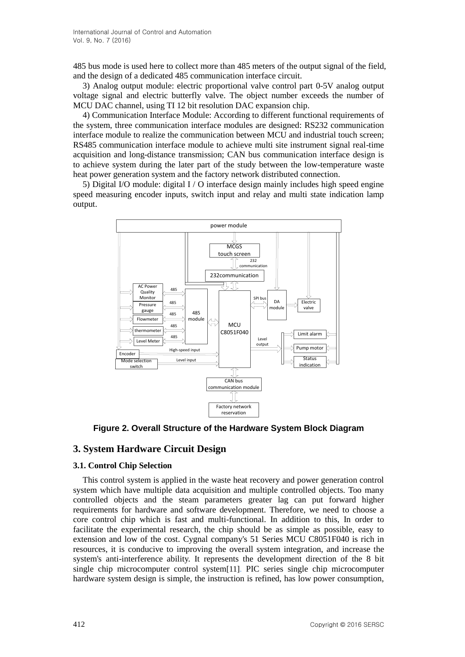485 bus mode is used here to collect more than 485 meters of the output signal of the field, and the design of a dedicated 485 communication interface circuit.

3) Analog output module: electric proportional valve control part 0-5V analog output voltage signal and electric butterfly valve. The object number exceeds the number of MCU DAC channel, using TI 12 bit resolution DAC expansion chip.

4) Communication Interface Module: According to different functional requirements of the system, three communication interface modules are designed: RS232 communication interface module to realize the communication between MCU and industrial touch screen; RS485 communication interface module to achieve multi site instrument signal real-time acquisition and long-distance transmission; CAN bus communication interface design is to achieve system during the later part of the study between the low-temperature waste heat power generation system and the factory network distributed connection.

5) Digital I/O module: digital I / O interface design mainly includes high speed engine speed measuring encoder inputs, switch input and relay and multi state indication lamp output.



**Figure 2. Overall Structure of the Hardware System Block Diagram**

# **3. System Hardware Circuit Design**

# **3.1. Control Chip Selection**

This control system is applied in the waste heat recovery and power generation control system which have multiple data acquisition and multiple controlled objects. Too many controlled objects and the steam parameters greater lag can put forward higher requirements for hardware and software development. Therefore, we need to choose a core control chip which is fast and multi-functional. In addition to this, In order to facilitate the experimental research, the chip should be as simple as possible, easy to extension and low of the cost. Cygnal company's 51 Series MCU C8051F040 is rich in resources, it is conducive to improving the overall system integration, and increase the system's anti-interference ability. It represents the development direction of the 8 bit single chip microcomputer control system[11]. PIC series single chip microcomputer hardware system design is simple, the instruction is refined, has low power consumption,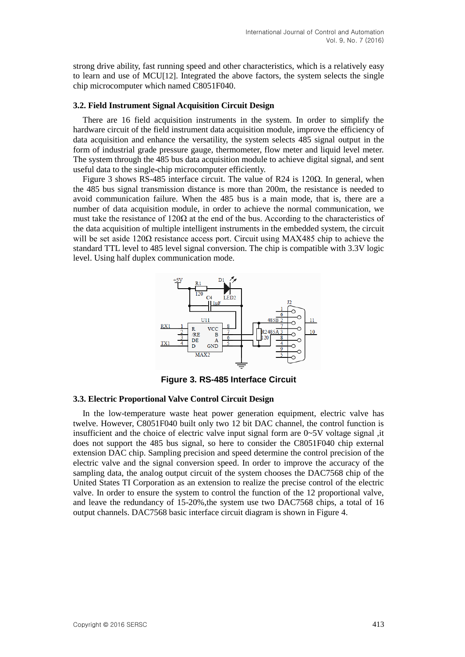strong drive ability, fast running speed and other characteristics, which is a relatively easy to learn and use of MCU[12]. Integrated the above factors, the system selects the single chip microcomputer which named C8051F040.

#### **3.2. Field Instrument Signal Acquisition Circuit Design**

There are 16 field acquisition instruments in the system. In order to simplify the hardware circuit of the field instrument data acquisition module, improve the efficiency of data acquisition and enhance the versatility, the system selects 485 signal output in the form of industrial grade pressure gauge, thermometer, flow meter and liquid level meter. The system through the 485 bus data acquisition module to achieve digital signal, and sent useful data to the single-chip microcomputer efficiently.

Figure 3 shows RS-485 interface circuit. The value of R24 is  $120Ω$ . In general, when the 485 bus signal transmission distance is more than 200m, the resistance is needed to avoid communication failure. When the 485 bus is a main mode, that is, there are a number of data acquisition module, in order to achieve the normal communication, we must take the resistance of 120 $\Omega$  at the end of the bus. According to the characteristics of the data acquisition of multiple intelligent instruments in the embedded system, the circuit will be set aside  $120\Omega$  resistance access port. Circuit using MAX485 chip to achieve the standard TTL level to 485 level signal conversion. The chip is compatible with 3.3V logic level. Using half duplex communication mode.



**Figure 3. RS-485 Interface Circuit**

#### **3.3. Electric Proportional Valve Control Circuit Design**

In the low-temperature waste heat power generation equipment, electric valve has twelve. However, C8051F040 built only two 12 bit DAC channel, the control function is insufficient and the choice of electric valve input signal form are  $0\neg 5V$  voltage signal , it does not support the 485 bus signal, so here to consider the C8051F040 chip external extension DAC chip. Sampling precision and speed determine the control precision of the electric valve and the signal conversion speed. In order to improve the accuracy of the sampling data, the analog output circuit of the system chooses the DAC7568 chip of the United States TI Corporation as an extension to realize the precise control of the electric valve. In order to ensure the system to control the function of the 12 proportional valve, and leave the redundancy of 15-20%,the system use two DAC7568 chips, a total of 16 output channels. DAC7568 basic interface circuit diagram is shown in Figure 4.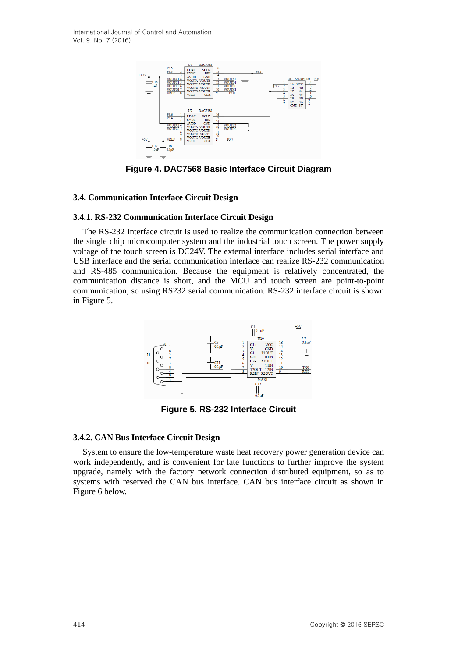International Journal of Control and Automation Vol. 9, No. 7 (2016)



**Figure 4. DAC7568 Basic Interface Circuit Diagram**

### **3.4. Communication Interface Circuit Design**

## **3.4.1. RS-232 Communication Interface Circuit Design**

The RS-232 interface circuit is used to realize the communication connection between the single chip microcomputer system and the industrial touch screen. The power supply voltage of the touch screen is DC24V. The external interface includes serial interface and USB interface and the serial communication interface can realize RS-232 communication and RS-485 communication. Because the equipment is relatively concentrated, the communication distance is short, and the MCU and touch screen are point-to-point communication, so using RS232 serial communication. RS-232 interface circuit is shown in Figure 5.



**Figure 5. RS-232 Interface Circuit**

#### **3.4.2. CAN Bus Interface Circuit Design**

System to ensure the low-temperature waste heat recovery power generation device can work independently, and is convenient for late functions to further improve the system upgrade, namely with the factory network connection distributed equipment, so as to systems with reserved the CAN bus interface. CAN bus interface circuit as shown in Figure 6 below.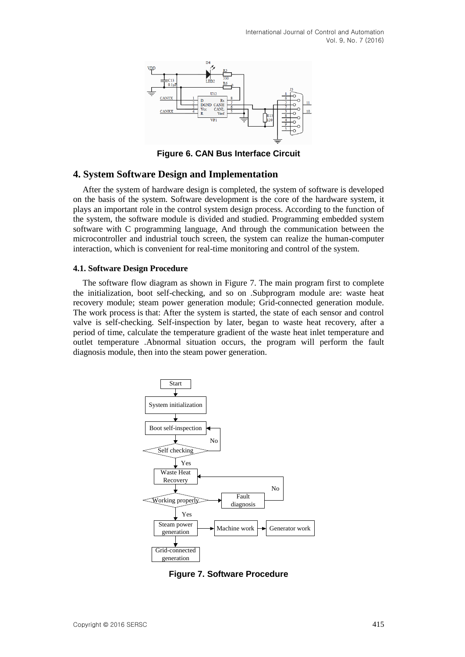

**Figure 6. CAN Bus Interface Circuit**

## **4. System Software Design and Implementation**

After the system of hardware design is completed, the system of software is developed on the basis of the system. Software development is the core of the hardware system, it plays an important role in the control system design process. According to the function of the system, the software module is divided and studied. Programming embedded system software with C programming language, And through the communication between the microcontroller and industrial touch screen, the system can realize the human-computer interaction, which is convenient for real-time monitoring and control of the system.

### **4.1. Software Design Procedure**

The software flow diagram as shown in Figure 7. The main program first to complete the initialization, boot self-checking, and so on .Subprogram module are: waste heat recovery module; steam power generation module; Grid-connected generation module. The work process is that: After the system is started, the state of each sensor and control valve is self-checking. Self-inspection by later, began to waste heat recovery, after a period of time, calculate the temperature gradient of the waste heat inlet temperature and outlet temperature .Abnormal situation occurs, the program will perform the fault diagnosis module, then into the steam power generation.



**Figure 7. Software Procedure**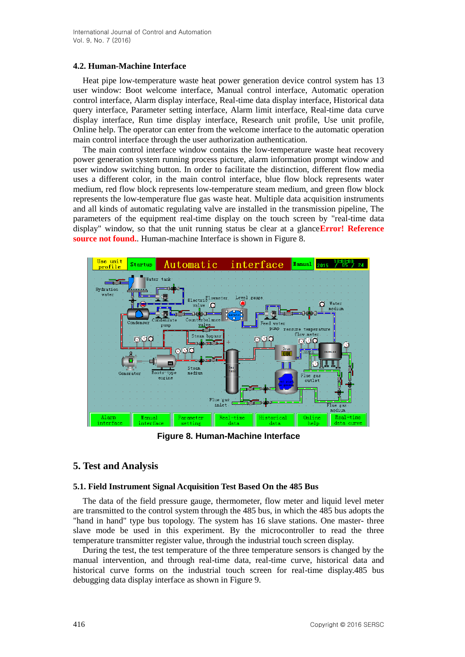## **4.2. Human-Machine Interface**

Heat pipe low-temperature waste heat power generation device control system has 13 user window: Boot welcome interface, Manual control interface, Automatic operation control interface, Alarm display interface, Real-time data display interface, Historical data query interface, Parameter setting interface, Alarm limit interface, Real-time data curve display interface, Run time display interface, Research unit profile, Use unit profile, Online help. The operator can enter from the welcome interface to the automatic operation main control interface through the user authorization authentication.

The main control interface window contains the low-temperature waste heat recovery power generation system running process picture, alarm information prompt window and user window switching button. In order to facilitate the distinction, different flow media uses a different color, in the main control interface, blue flow block represents water medium, red flow block represents low-temperature steam medium, and green flow block represents the low-temperature flue gas waste heat. Multiple data acquisition instruments and all kinds of automatic regulating valve are installed in the transmission pipeline, The parameters of the equipment real-time display on the touch screen by "real-time data display" window, so that the unit running status be clear at a glance**Error! Reference source not found.**. Human-machine Interface is shown in Figure 8.



**Figure 8. Human-Machine Interface**

# **5. Test and Analysis**

## **5.1. Field Instrument Signal Acquisition Test Based On the 485 Bus**

The data of the field pressure gauge, thermometer, flow meter and liquid level meter are transmitted to the control system through the 485 bus, in which the 485 bus adopts the "hand in hand" type bus topology. The system has 16 slave stations. One master- three slave mode be used in this experiment. By the microcontroller to read the three temperature transmitter register value, through the industrial touch screen display.

During the test, the test temperature of the three temperature sensors is changed by the manual intervention, and through real-time data, real-time curve, historical data and historical curve forms on the industrial touch screen for real-time display.485 bus debugging data display interface as shown in Figure 9.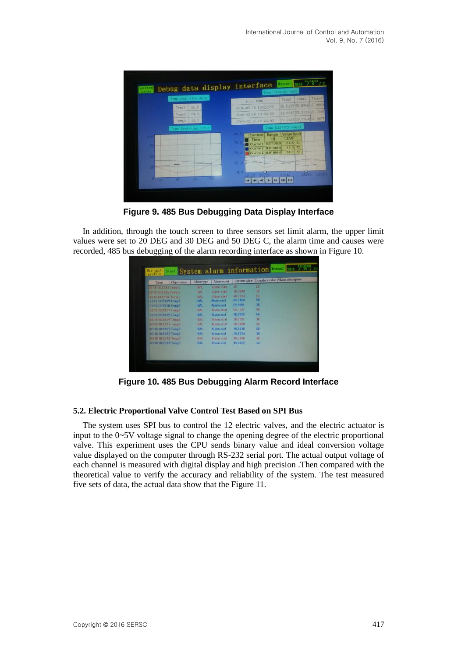

**Figure 9. 485 Bus Debugging Data Display Interface**

In addition, through the touch screen to three sensors set limit alarm, the upper limit values were set to 20 DEG and 30 DEG and 50 DEG C, the alarm time and causes were recorded, 485 bus debugging of the alarm recording interface as shown in Figure 10.

| Time:                  | Object name | Alarm type  | Alarm event |         | Current value Boundary value Alarm description |
|------------------------|-------------|-------------|-------------|---------|------------------------------------------------|
| 0316 102253 Temp 1     |             | <b>HIAL</b> | Alams start | 25      | 20                                             |
| 83-16-10:22:55 Temp 2. |             | <b>HIAL</b> | Alarm start | 30.0588 | 30                                             |
| 03-16-10-22:57 Tump 1  |             | HIAL        | Alumn-utant | 50.2324 | 59.                                            |
| 83161023109 Temp3      |             | HIAL        | Alarm end   | 49,7428 | 50                                             |
| 03-16 10:23:38 Temp2   |             | <b>HIAL</b> | Alarm end   | 29.9091 | 30                                             |
| 03-18-10-23:37 Temp3   |             | <b>HAL</b>  | Alam start  | 50.3287 | 50                                             |
| 03-16 10:23:49 Temp3   |             | <b>JAIH</b> | Alarm end   | 49.9922 | 50                                             |
| 83-16-18-24:15 Temp2   |             | HIAL        | Alarm start | 30.0201 | 38                                             |
| 83-16 18:24:17 Temp3   |             | HAL         | Alarm start | 50.0080 | 58                                             |
| 03-16 10:24:29 Temp3   |             | <b>HIAL</b> | Alarm end   | 49.8946 | 50                                             |
| 03-16 10:24:50 Temp2   |             | HIAL.       | Alarm end   | 29.9534 | 30                                             |
| 03-16 10:24:57 Terror3 |             | 划ぬ          | Alarm start | 58,1855 | 58                                             |
| 03-16 18:25:09 Temp3   |             | HIA!        | Alarm end   | 49.6952 | 58                                             |
|                        |             |             |             |         |                                                |

**Figure 10. 485 Bus Debugging Alarm Record Interface**

# **5.2. Electric Proportional Valve Control Test Based on SPI Bus**

The system uses SPI bus to control the 12 electric valves, and the electric actuator is input to the 0~5V voltage signal to change the opening degree of the electric proportional valve. This experiment uses the CPU sends binary value and ideal conversion voltage value displayed on the computer through RS-232 serial port. The actual output voltage of each channel is measured with digital display and high precision .Then compared with the theoretical value to verify the accuracy and reliability of the system. The test measured five sets of data, the actual data show that the Figure 11.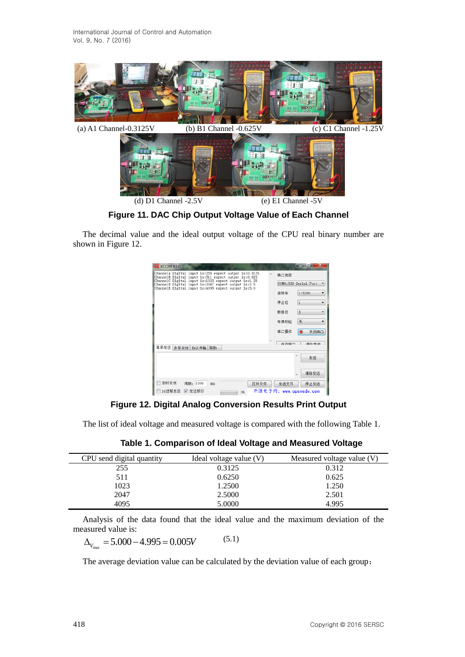

**Figure 11. DAC Chip Output Voltage Value of Each Channel**

The decimal value and the ideal output voltage of the CPU real binary number are shown in Figure 12.

| <b>ATM</b> XCOM V2.0                                                                                          |    | — 9 X                                |
|---------------------------------------------------------------------------------------------------------------|----|--------------------------------------|
| ChannelA Digital input is:255 expect output is:0.3125<br>ChannelB Digital input is:511 expect output is:0.625 | A. | 串口选择                                 |
| ChannelC Digital input is:1023 expect output is:1.25<br>ChannelD Digital input is:2047 expect output is:2.5   |    | COM6:USB Serial Port                 |
| ChannelE Digital input is:4095 expect output is:5.0                                                           |    | 115200<br>波特率<br>٠                   |
|                                                                                                               |    | 停止位<br>۰<br>1                        |
|                                                                                                               |    |                                      |
|                                                                                                               |    | 8<br>$\overline{\phantom{a}}$<br>数据位 |
|                                                                                                               |    | 无<br>奇偶校验<br>۳                       |
|                                                                                                               |    | 串口操作<br>关闭串口                         |
|                                                                                                               |    | 投大空口<br>2008-0-100 BM                |
| 单条发送 多条发送 协议传输 帮助                                                                                             |    |                                      |
|                                                                                                               |    | 发送                                   |
|                                                                                                               |    |                                      |
|                                                                                                               |    | 清除发送                                 |
| 定时发送<br>周期: 1000<br>打开文件<br>ms                                                                                |    | 发送文件<br>停止发送                         |
| 16进制发送<br>▽ 发送新行<br>0%                                                                                        |    | 开源电子网: www.openedv.com               |

**Figure 12. Digital Analog Conversion Results Print Output**

The list of ideal voltage and measured voltage is compared with the following Table 1.

| CPU send digital quantity | Ideal voltage value $(V)$ | Measured voltage value (V) |
|---------------------------|---------------------------|----------------------------|
| 255                       | 0.3125                    | 0.312                      |
| 511                       | 0.6250                    | 0.625                      |
| 1023                      | 1.2500                    | 1.250                      |
| 2047                      | 2.5000                    | 2.501                      |
| 4095                      | 5.0000                    | 4.995                      |

Analysis of the data found that the ideal value and the maximum deviation of the measured value is:

asured value is:<br> $\Delta_{V_{\text{max}}} = 5.000 - 4.995 = 0.005V$ (5.1)

The average deviation value can be calculated by the deviation value of each group: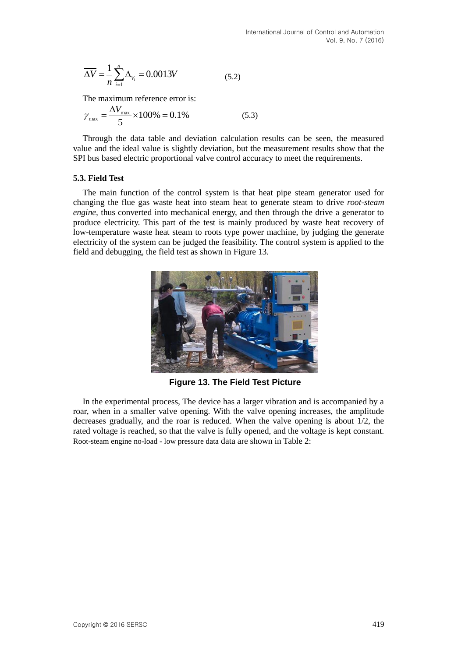$$
\overline{\Delta V} = \frac{1}{n} \sum_{i=1}^{n} \Delta_{V_i} = 0.0013V
$$
 (5.2)

The maximum reference error is:

$$
\gamma_{\text{max}} = \frac{\Delta V_{\text{max}}}{5} \times 100\% = 0.1\%
$$
\n(5.3)

Through the data table and deviation calculation results can be seen, the measured value and the ideal value is slightly deviation, but the measurement results show that the SPI bus based electric proportional valve control accuracy to meet the requirements.

### **5.3. Field Test**

The main function of the control system is that heat pipe steam generator used for changing the flue gas waste heat into steam heat to generate steam to drive *root-steam engine,* thus converted into mechanical energy, and then through the drive a generator to produce electricity. This part of the test is mainly produced by waste heat recovery of low-temperature waste heat steam to roots type power machine, by judging the generate electricity of the system can be judged the feasibility. The control system is applied to the field and debugging, the field test as shown in Figure 13.



**Figure 13. The Field Test Picture**

In the experimental process, The device has a larger vibration and is accompanied by a roar, when in a smaller valve opening. With the valve opening increases, the amplitude decreases gradually, and the roar is reduced. When the valve opening is about 1/2, the rated voltage is reached, so that the valve is fully opened, and the voltage is kept constant. Root-steam engine no-load - low pressure data data are shown in Table 2: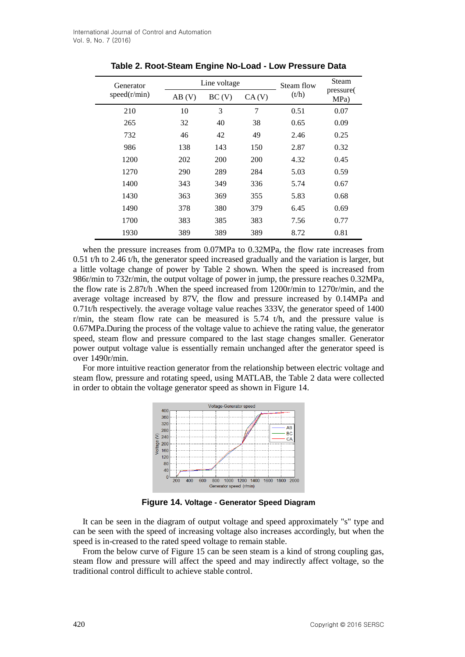| Generator<br>speed(r/min) |       | Line voltage | Steam flow | Steam |                   |
|---------------------------|-------|--------------|------------|-------|-------------------|
|                           | AB(V) | BC(V)        | CA(V)      | (t/h) | pressure(<br>MPa) |
| 210                       | 10    | 3            | 7          | 0.51  | 0.07              |
| 265                       | 32    | 40           | 38         | 0.65  | 0.09              |
| 732                       | 46    | 42           | 49         | 2.46  | 0.25              |
| 986                       | 138   | 143          | 150        | 2.87  | 0.32              |
| 1200                      | 202   | 200          | <b>200</b> | 4.32  | 0.45              |
| 1270                      | 290   | 289          | 284        | 5.03  | 0.59              |
| 1400                      | 343   | 349          | 336        | 5.74  | 0.67              |
| 1430                      | 363   | 369          | 355        | 5.83  | 0.68              |
| 1490                      | 378   | 380          | 379        | 6.45  | 0.69              |
| 1700                      | 383   | 385          | 383        | 7.56  | 0.77              |
| 1930                      | 389   | 389          | 389        | 8.72  | 0.81              |

**Table 2. Root-Steam Engine No-Load - Low Pressure Data**

when the pressure increases from 0.07MPa to 0.32MPa, the flow rate increases from 0.51 t/h to 2.46 t/h, the generator speed increased gradually and the variation is larger, but a little voltage change of power by Table 2 shown. When the speed is increased from 986r/min to 732r/min, the output voltage of power in jump, the pressure reaches 0.32MPa, the flow rate is 2.87t/h .When the speed increased from 1200r/min to 1270r/min, and the average voltage increased by 87V, the flow and pressure increased by 0.14MPa and 0.71t/h respectively. the average voltage value reaches 333V, the generator speed of 1400 r/min, the steam flow rate can be measured is  $5.74$  t/h, and the pressure value is 0.67MPa.During the process of the voltage value to achieve the rating value, the generator speed, steam flow and pressure compared to the last stage changes smaller. Generator power output voltage value is essentially remain unchanged after the generator speed is over 1490r/min.

For more intuitive reaction generator from the relationship between electric voltage and steam flow, pressure and rotating speed, using MATLAB, the Table 2 data were collected in order to obtain the voltage generator speed as shown in Figure 14.



**Figure 14. Voltage - Generator Speed Diagram**

It can be seen in the diagram of output voltage and speed approximately "s" type and can be seen with the speed of increasing voltage also increases accordingly, but when the speed is in-creased to the rated speed voltage to remain stable.

From the below curve of Figure 15 can be seen steam is a kind of strong coupling gas, steam flow and pressure will affect the speed and may indirectly affect voltage, so the traditional control difficult to achieve stable control.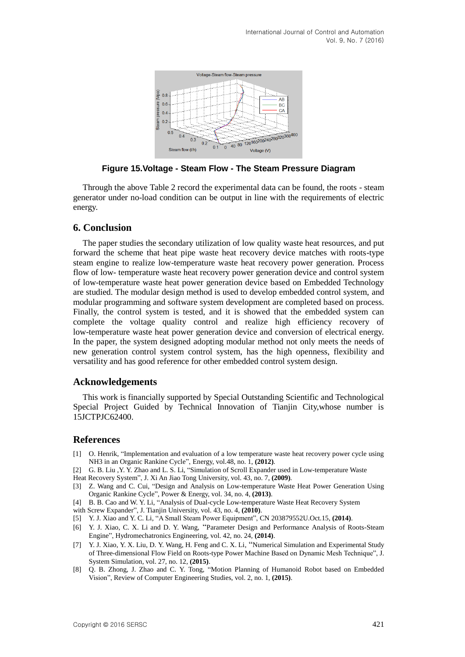

**Figure 15.Voltage - Steam Flow - The Steam Pressure Diagram**

Through the above Table 2 record the experimental data can be found, the roots - steam generator under no-load condition can be output in line with the requirements of electric energy.

## **6. Conclusion**

The paper studies the secondary utilization of low quality waste heat resources, and put forward the scheme that heat pipe waste heat recovery device matches with roots-type steam engine to realize low-temperature waste heat recovery power generation. Process flow of low- temperature waste heat recovery power generation device and control system of low-temperature waste heat power generation device based on Embedded Technology are studied. The modular design method is used to develop embedded control system, and modular programming and software system development are completed based on process. Finally, the control system is tested, and it is showed that the embedded system can complete the voltage quality control and realize high efficiency recovery of low-temperature waste heat power generation device and conversion of electrical energy. In the paper, the system designed adopting modular method not only meets the needs of new generation control system control system, has the high openness, flexibility and versatility and has good reference for other embedded control system design.

### **Acknowledgements**

This work is financially supported by Special Outstanding Scientific and Technological Special Project Guided by Technical Innovation of Tianjin City,whose number is 15JCTPJC62400.

#### **References**

- [1] O. Henrik, "Implementation and evaluation of a low temperature waste heat recovery power cycle using NH3 in an Organic Rankine Cycle", Energy, vol.48, no. 1, **(2012)**.
- [2] G. B. Liu , Y. Y. Zhao and L. S. Li, "Simulation of Scroll Expander used in Low-temperature Waste
- Heat Recovery System", J. Xi An Jiao Tong University, vol. 43, no. 7, **(2009)**.
- [3] Z. Wang and C. Cui, "Design and Analysis on Low-temperature Waste Heat Power Generation Using Organic Rankine Cycle", Power & Energy, vol. 34, no. 4, **(2013)**.
- [4] B. B. Cao and W. Y. Li, "Analysis of Dual-cycle Low-temperature Waste Heat Recovery System
- with Screw Expander", J. Tianjin University, vol. 43, no. 4, **(2010)**.
- [5] Y. J. Xiao and Y. C. Li, "A Small Steam Power Equipment", CN 203879552U.Oct.15, **(2014)**.
- [6] Y. J. Xiao, C. X. Li and D. Y. Wang, "Parameter Design and Performance Analysis of Roots-Steam Engine", Hydromechatronics Engineering, vol. 42, no. 24, **(2014)**.
- [7] Y. J. Xiao, Y. X. Liu, D. Y. Wang, H. Feng and C. X. Li, "Numerical Simulation and Experimental Study of Three-dimensional Flow Field on Roots-type Power Machine Based on Dynamic Mesh Technique", J. System Simulation, vol. 27, no. 12, **(2015)**.
- [8] Q. B. Zhong, J. Zhao and C. Y. Tong, "Motion Planning of Humanoid Robot based on Embedded Vision", Review of Computer Engineering Studies, vol. 2, no. 1, **(2015)**.